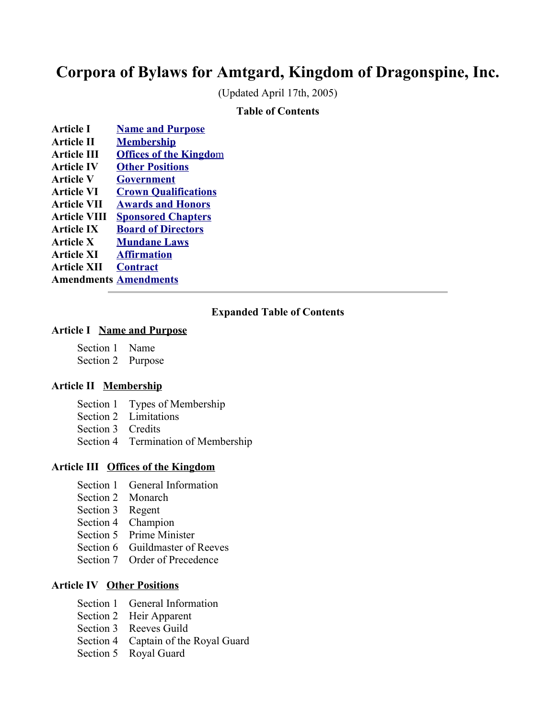# **Corpora of Bylaws for Amtgard, Kingdom of Dragonspine, Inc.**

(Updated April 17th, 2005)

#### **Table of Contents**

- **Article I [Name and Purpose](#page-3-0) Article II [Membership](#page-4-0) Article III Offices of the Kingdom Article IV [Other Positions](#page-10-0)**
- **Article V [Government](#page-13-0)**
- **Article VI [Crown Qualifications](#page-16-0)**
- **Article VII [Awards and Honors](#page-20-0) Article VIII [Sponsored Chapters](#page-25-0)**
- **Article IX [Board of Directors](#page-27-0)**
- **Article X [Mundane Laws](#page-29-0)**
- **Article XI [Affirmation](#page-30-0)**
- **Article XII [Contract](#page-31-0)**

**Amendments [Amendments](#page-32-0)**

#### **Expanded Table of Contents**

#### **Article I Name and Purpose**

- Section 1 Name
- Section 2 Purpose

#### **Article II Membership**

- Section 1 Types of Membership
- Section 2 Limitations
- Section 3 Credits
- Section 4 Termination of Membership

#### **Article III Offices of the Kingdom**

- Section 1 General Information
- Section 2 Monarch
- Section 3 Regent
- Section 4 Champion
- Section 5 Prime Minister
- Section 6 Guildmaster of Reeves
- Section 7 Order of Precedence

#### **Article IV Other Positions**

- Section 1 General Information
- Section 2 Heir Apparent
- Section 3 Reeves Guild
- Section 4 Captain of the Royal Guard
- Section 5 Royal Guard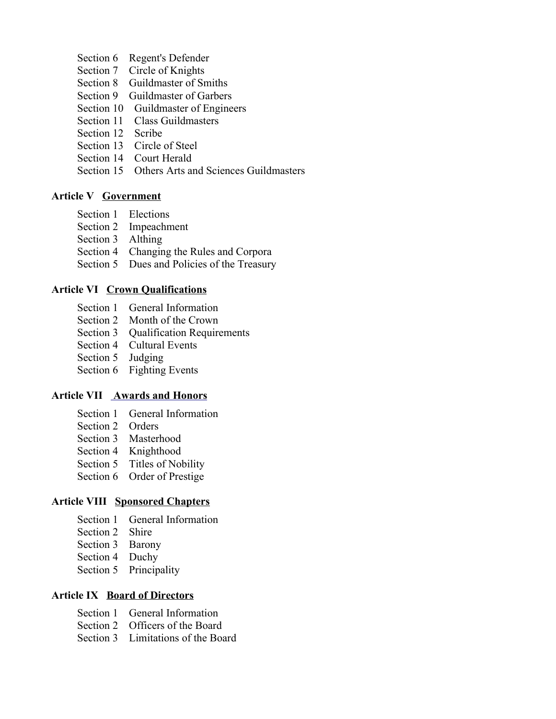- Section 6 Regent's Defender
- Section 7 Circle of Knights
- Section 8 Guildmaster of Smiths
- Section 9 Guildmaster of Garbers
- Section 10 Guildmaster of Engineers
- Section 11 Class Guildmasters
- Section 12 Scribe
- Section 13 Circle of Steel
- Section 14 Court Herald
- Section 15 Others Arts and Sciences Guildmasters

#### **Article V Government**

- Section 1 Elections
- Section 2 Impeachment
- Section 3 Althing
- Section 4 Changing the Rules and Corpora
- Section 5 Dues and Policies of the Treasury

#### **Article VI Crown Qualifications**

- Section 1 General Information
- Section 2 Month of the Crown
- Section 3 Qualification Requirements
- Section 4 Cultural Events
- Section 5 Judging
- Section 6 Fighting Events

#### **Article VII Awards and Honors**

- Section 1 General Information
- Section 2 Orders
- Section 3 Masterhood
- Section 4 Knighthood
- Section 5 Titles of Nobility
- Section 6 Order of Prestige

#### **Article VIII Sponsored Chapters**

- Section 1 General Information
- Section 2 Shire
- Section 3 Barony
- Section 4 Duchy
- Section 5 Principality

#### **Article IX Board of Directors**

- Section 1 General Information
- Section 2 Officers of the Board
- Section 3 Limitations of the Board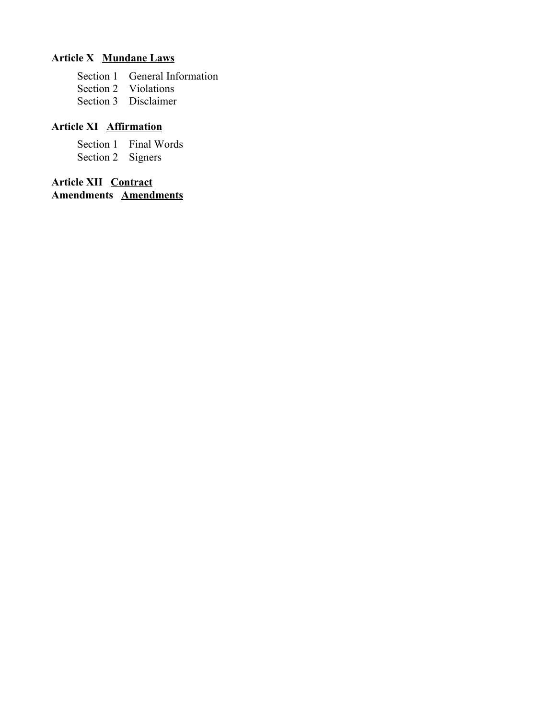# **Article X Mundane Laws**

- Section 1 General Information
- Section 2 Violations
- Section 3 Disclaimer

#### **Article XI Affirmation**

Section 1 Final Words

Section 2 Signers

**Article XII Contract Amendments Amendments**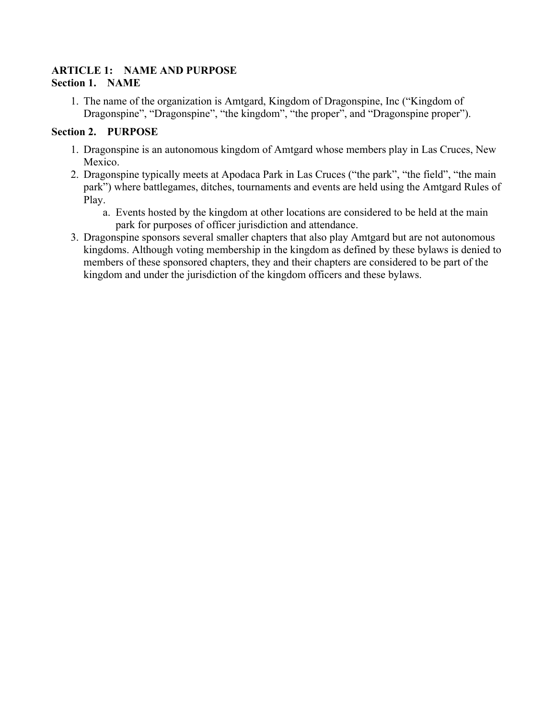#### <span id="page-3-0"></span>**ARTICLE 1: NAME AND PURPOSE Section 1. NAME**

1. The name of the organization is Amtgard, Kingdom of Dragonspine, Inc ("Kingdom of Dragonspine", "Dragonspine", "the kingdom", "the proper", and "Dragonspine proper").

# **Section 2. PURPOSE**

- 1. Dragonspine is an autonomous kingdom of Amtgard whose members play in Las Cruces, New Mexico.
- 2. Dragonspine typically meets at Apodaca Park in Las Cruces ("the park", "the field", "the main park") where battlegames, ditches, tournaments and events are held using the Amtgard Rules of Play.
	- a. Events hosted by the kingdom at other locations are considered to be held at the main park for purposes of officer jurisdiction and attendance.
- 3. Dragonspine sponsors several smaller chapters that also play Amtgard but are not autonomous kingdoms. Although voting membership in the kingdom as defined by these bylaws is denied to members of these sponsored chapters, they and their chapters are considered to be part of the kingdom and under the jurisdiction of the kingdom officers and these bylaws.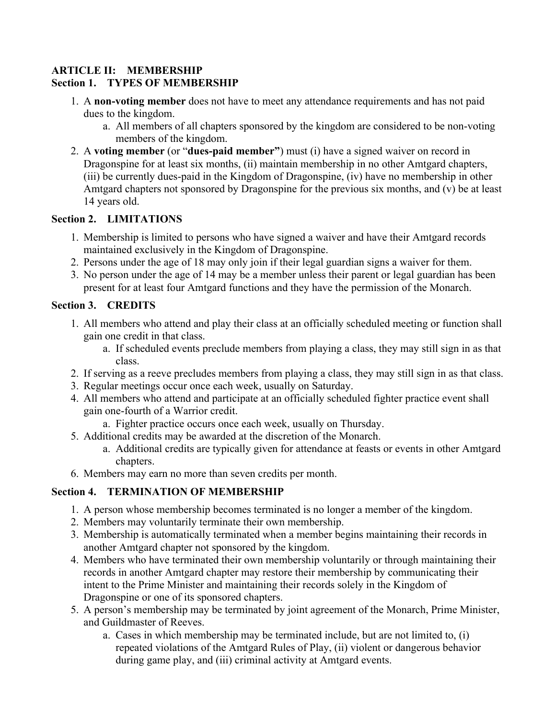#### <span id="page-4-0"></span>**ARTICLE II: MEMBERSHIP Section 1. TYPES OF MEMBERSHIP**

- 1. A **non-voting member** does not have to meet any attendance requirements and has not paid dues to the kingdom.
	- a. All members of all chapters sponsored by the kingdom are considered to be non-voting members of the kingdom.
- 2. A **voting member** (or "**dues-paid member"**) must (i) have a signed waiver on record in Dragonspine for at least six months, (ii) maintain membership in no other Amtgard chapters, (iii) be currently dues-paid in the Kingdom of Dragonspine, (iv) have no membership in other Amtgard chapters not sponsored by Dragonspine for the previous six months, and (v) be at least 14 years old.

# **Section 2. LIMITATIONS**

- 1. Membership is limited to persons who have signed a waiver and have their Amtgard records maintained exclusively in the Kingdom of Dragonspine.
- 2. Persons under the age of 18 may only join if their legal guardian signs a waiver for them.
- 3. No person under the age of 14 may be a member unless their parent or legal guardian has been present for at least four Amtgard functions and they have the permission of the Monarch.

# **Section 3. CREDITS**

- 1. All members who attend and play their class at an officially scheduled meeting or function shall gain one credit in that class.
	- a. If scheduled events preclude members from playing a class, they may still sign in as that class.
- 2. If serving as a reeve precludes members from playing a class, they may still sign in as that class.
- 3. Regular meetings occur once each week, usually on Saturday.
- 4. All members who attend and participate at an officially scheduled fighter practice event shall gain one-fourth of a Warrior credit.
	- a. Fighter practice occurs once each week, usually on Thursday.
- 5. Additional credits may be awarded at the discretion of the Monarch.
	- a. Additional credits are typically given for attendance at feasts or events in other Amtgard chapters.
- 6. Members may earn no more than seven credits per month.

# **Section 4. TERMINATION OF MEMBERSHIP**

- 1. A person whose membership becomes terminated is no longer a member of the kingdom.
- 2. Members may voluntarily terminate their own membership.
- 3. Membership is automatically terminated when a member begins maintaining their records in another Amtgard chapter not sponsored by the kingdom.
- 4. Members who have terminated their own membership voluntarily or through maintaining their records in another Amtgard chapter may restore their membership by communicating their intent to the Prime Minister and maintaining their records solely in the Kingdom of Dragonspine or one of its sponsored chapters.
- 5. A person's membership may be terminated by joint agreement of the Monarch, Prime Minister, and Guildmaster of Reeves.
	- a. Cases in which membership may be terminated include, but are not limited to, (i) repeated violations of the Amtgard Rules of Play, (ii) violent or dangerous behavior during game play, and (iii) criminal activity at Amtgard events.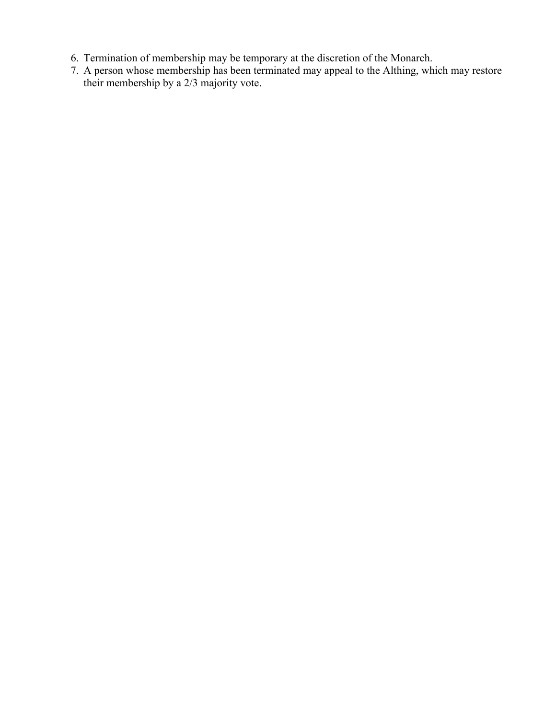- 6. Termination of membership may be temporary at the discretion of the Monarch.
- 7. A person whose membership has been terminated may appeal to the Althing, which may restore their membership by a 2/3 majority vote.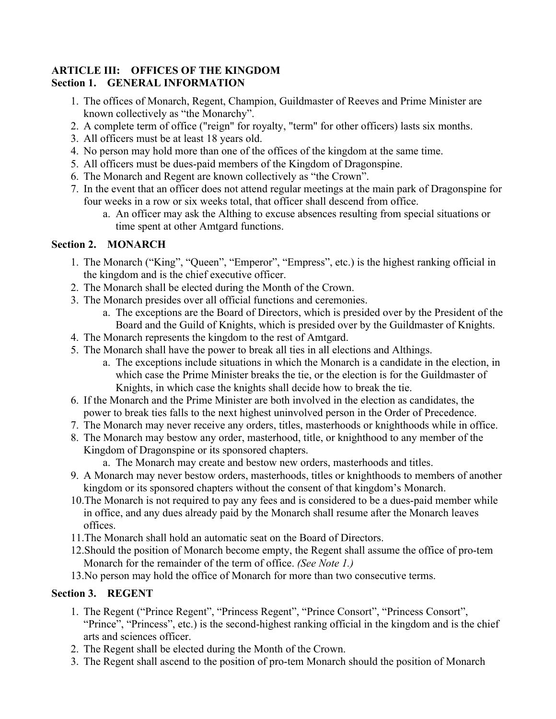#### <span id="page-6-0"></span>**ARTICLE III: OFFICES OF THE KINGDOM Section 1. GENERAL INFORMATION**

- 1. The offices of Monarch, Regent, Champion, Guildmaster of Reeves and Prime Minister are known collectively as "the Monarchy".
- 2. A complete term of office ("reign" for royalty, "term" for other officers) lasts six months.
- 3. All officers must be at least 18 years old.
- 4. No person may hold more than one of the offices of the kingdom at the same time.
- 5. All officers must be dues-paid members of the Kingdom of Dragonspine.
- 6. The Monarch and Regent are known collectively as "the Crown".
- 7. In the event that an officer does not attend regular meetings at the main park of Dragonspine for four weeks in a row or six weeks total, that officer shall descend from office.
	- a. An officer may ask the Althing to excuse absences resulting from special situations or time spent at other Amtgard functions.

# **Section 2. MONARCH**

- 1. The Monarch ("King", "Queen", "Emperor", "Empress", etc.) is the highest ranking official in the kingdom and is the chief executive officer.
- 2. The Monarch shall be elected during the Month of the Crown.
- 3. The Monarch presides over all official functions and ceremonies.
	- a. The exceptions are the Board of Directors, which is presided over by the President of the Board and the Guild of Knights, which is presided over by the Guildmaster of Knights.
- 4. The Monarch represents the kingdom to the rest of Amtgard.
- 5. The Monarch shall have the power to break all ties in all elections and Althings.
	- a. The exceptions include situations in which the Monarch is a candidate in the election, in which case the Prime Minister breaks the tie, or the election is for the Guildmaster of Knights, in which case the knights shall decide how to break the tie.
- 6. If the Monarch and the Prime Minister are both involved in the election as candidates, the power to break ties falls to the next highest uninvolved person in the Order of Precedence.
- 7. The Monarch may never receive any orders, titles, masterhoods or knighthoods while in office.
- 8. The Monarch may bestow any order, masterhood, title, or knighthood to any member of the Kingdom of Dragonspine or its sponsored chapters.
	- a. The Monarch may create and bestow new orders, masterhoods and titles.
- 9. A Monarch may never bestow orders, masterhoods, titles or knighthoods to members of another kingdom or its sponsored chapters without the consent of that kingdom's Monarch.
- 10.The Monarch is not required to pay any fees and is considered to be a dues-paid member while in office, and any dues already paid by the Monarch shall resume after the Monarch leaves offices.
- 11.The Monarch shall hold an automatic seat on the Board of Directors.
- 12.Should the position of Monarch become empty, the Regent shall assume the office of pro-tem Monarch for the remainder of the term of office. *(See Note 1.)*
- 13.No person may hold the office of Monarch for more than two consecutive terms.

# **Section 3. REGENT**

- 1. The Regent ("Prince Regent", "Princess Regent", "Prince Consort", "Princess Consort", "Prince", "Princess", etc.) is the second-highest ranking official in the kingdom and is the chief arts and sciences officer.
- 2. The Regent shall be elected during the Month of the Crown.
- 3. The Regent shall ascend to the position of pro-tem Monarch should the position of Monarch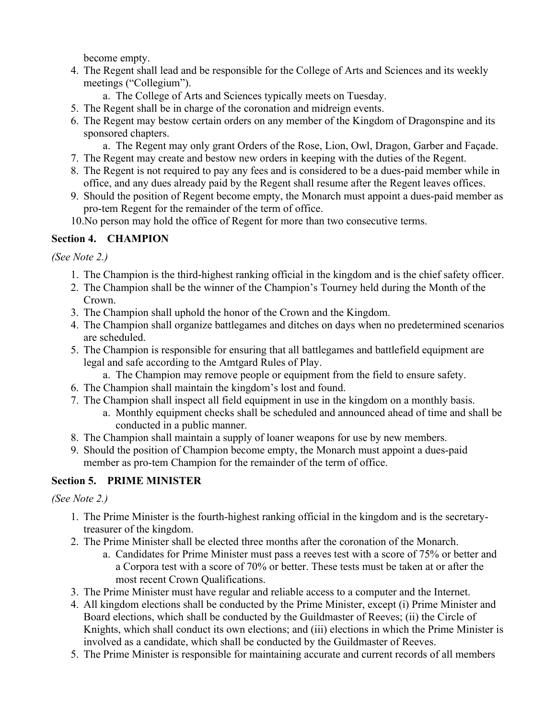become empty.

- 4. The Regent shall lead and be responsible for the College of Arts and Sciences and its weekly meetings ("Collegium").
	- a. The College of Arts and Sciences typically meets on Tuesday.
- 5. The Regent shall be in charge of the coronation and midreign events.
- 6. The Regent may bestow certain orders on any member of the Kingdom of Dragonspine and its sponsored chapters.
	- a. The Regent may only grant Orders of the Rose, Lion, Owl, Dragon, Garber and Façade.
- 7. The Regent may create and bestow new orders in keeping with the duties of the Regent.
- 8. The Regent is not required to pay any fees and is considered to be a dues-paid member while in office, and any dues already paid by the Regent shall resume after the Regent leaves offices.
- 9. Should the position of Regent become empty, the Monarch must appoint a dues-paid member as pro-tem Regent for the remainder of the term of office.
- 10.No person may hold the office of Regent for more than two consecutive terms.

# **Section 4. CHAMPION**

*(See Note 2.)*

- 1. The Champion is the third-highest ranking official in the kingdom and is the chief safety officer.
- 2. The Champion shall be the winner of the Champion's Tourney held during the Month of the Crown.
- 3. The Champion shall uphold the honor of the Crown and the Kingdom.
- 4. The Champion shall organize battlegames and ditches on days when no predetermined scenarios are scheduled.
- 5. The Champion is responsible for ensuring that all battlegames and battlefield equipment are legal and safe according to the Amtgard Rules of Play.
	- a. The Champion may remove people or equipment from the field to ensure safety.
- 6. The Champion shall maintain the kingdom's lost and found.
- 7. The Champion shall inspect all field equipment in use in the kingdom on a monthly basis.
	- a. Monthly equipment checks shall be scheduled and announced ahead of time and shall be conducted in a public manner.
- 8. The Champion shall maintain a supply of loaner weapons for use by new members.
- 9. Should the position of Champion become empty, the Monarch must appoint a dues-paid member as pro-tem Champion for the remainder of the term of office.

# **Section 5. PRIME MINISTER**

# *(See Note 2.)*

- 1. The Prime Minister is the fourth-highest ranking official in the kingdom and is the secretarytreasurer of the kingdom.
- 2. The Prime Minister shall be elected three months after the coronation of the Monarch.
	- a. Candidates for Prime Minister must pass a reeves test with a score of 75% or better and a Corpora test with a score of 70% or better. These tests must be taken at or after the most recent Crown Qualifications.
- 3. The Prime Minister must have regular and reliable access to a computer and the Internet.
- 4. All kingdom elections shall be conducted by the Prime Minister, except (i) Prime Minister and Board elections, which shall be conducted by the Guildmaster of Reeves; (ii) the Circle of Knights, which shall conduct its own elections; and (iii) elections in which the Prime Minister is involved as a candidate, which shall be conducted by the Guildmaster of Reeves.
- 5. The Prime Minister is responsible for maintaining accurate and current records of all members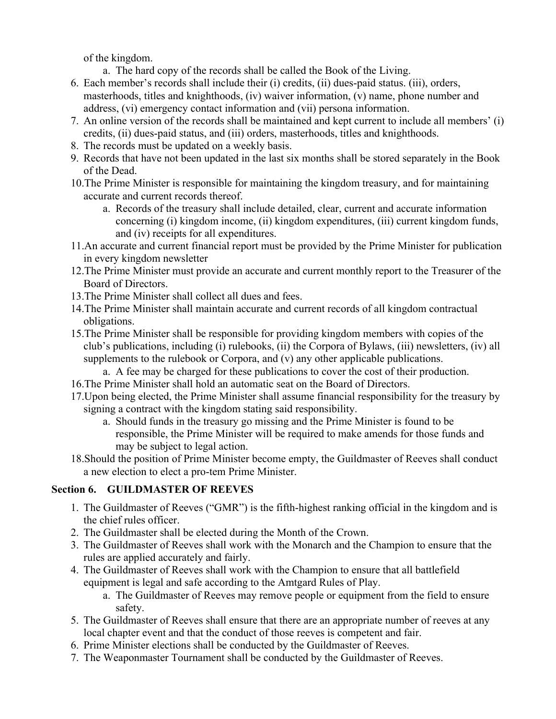of the kingdom.

a. The hard copy of the records shall be called the Book of the Living.

- 6. Each member's records shall include their (i) credits, (ii) dues-paid status. (iii), orders, masterhoods, titles and knighthoods, (iv) waiver information, (v) name, phone number and address, (vi) emergency contact information and (vii) persona information.
- 7. An online version of the records shall be maintained and kept current to include all members' (i) credits, (ii) dues-paid status, and (iii) orders, masterhoods, titles and knighthoods.
- 8. The records must be updated on a weekly basis.
- 9. Records that have not been updated in the last six months shall be stored separately in the Book of the Dead.
- 10.The Prime Minister is responsible for maintaining the kingdom treasury, and for maintaining accurate and current records thereof.
	- a. Records of the treasury shall include detailed, clear, current and accurate information concerning (i) kingdom income, (ii) kingdom expenditures, (iii) current kingdom funds, and (iv) receipts for all expenditures.
- 11.An accurate and current financial report must be provided by the Prime Minister for publication in every kingdom newsletter
- 12.The Prime Minister must provide an accurate and current monthly report to the Treasurer of the Board of Directors.
- 13.The Prime Minister shall collect all dues and fees.
- 14.The Prime Minister shall maintain accurate and current records of all kingdom contractual obligations.
- 15.The Prime Minister shall be responsible for providing kingdom members with copies of the club's publications, including (i) rulebooks, (ii) the Corpora of Bylaws, (iii) newsletters, (iv) all supplements to the rulebook or Corpora, and (v) any other applicable publications.
	- a. A fee may be charged for these publications to cover the cost of their production.
- 16.The Prime Minister shall hold an automatic seat on the Board of Directors.
- 17.Upon being elected, the Prime Minister shall assume financial responsibility for the treasury by signing a contract with the kingdom stating said responsibility.
	- a. Should funds in the treasury go missing and the Prime Minister is found to be responsible, the Prime Minister will be required to make amends for those funds and may be subject to legal action.
- 18.Should the position of Prime Minister become empty, the Guildmaster of Reeves shall conduct a new election to elect a pro-tem Prime Minister.

# **Section 6. GUILDMASTER OF REEVES**

- 1. The Guildmaster of Reeves ("GMR") is the fifth-highest ranking official in the kingdom and is the chief rules officer.
- 2. The Guildmaster shall be elected during the Month of the Crown.
- 3. The Guildmaster of Reeves shall work with the Monarch and the Champion to ensure that the rules are applied accurately and fairly.
- 4. The Guildmaster of Reeves shall work with the Champion to ensure that all battlefield equipment is legal and safe according to the Amtgard Rules of Play.
	- a. The Guildmaster of Reeves may remove people or equipment from the field to ensure safety.
- 5. The Guildmaster of Reeves shall ensure that there are an appropriate number of reeves at any local chapter event and that the conduct of those reeves is competent and fair.
- 6. Prime Minister elections shall be conducted by the Guildmaster of Reeves.
- 7. The Weaponmaster Tournament shall be conducted by the Guildmaster of Reeves.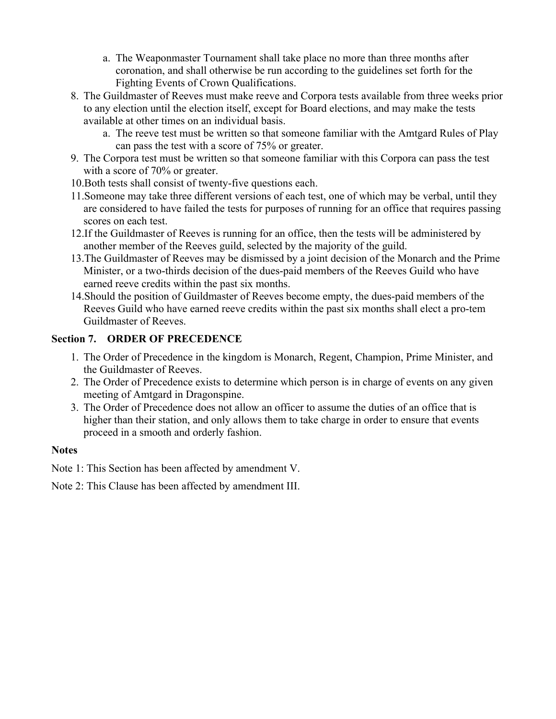- a. The Weaponmaster Tournament shall take place no more than three months after coronation, and shall otherwise be run according to the guidelines set forth for the Fighting Events of Crown Qualifications.
- 8. The Guildmaster of Reeves must make reeve and Corpora tests available from three weeks prior to any election until the election itself, except for Board elections, and may make the tests available at other times on an individual basis.
	- a. The reeve test must be written so that someone familiar with the Amtgard Rules of Play can pass the test with a score of 75% or greater.
- 9. The Corpora test must be written so that someone familiar with this Corpora can pass the test with a score of 70% or greater.
- 10.Both tests shall consist of twenty-five questions each.
- 11.Someone may take three different versions of each test, one of which may be verbal, until they are considered to have failed the tests for purposes of running for an office that requires passing scores on each test.
- 12.If the Guildmaster of Reeves is running for an office, then the tests will be administered by another member of the Reeves guild, selected by the majority of the guild.
- 13.The Guildmaster of Reeves may be dismissed by a joint decision of the Monarch and the Prime Minister, or a two-thirds decision of the dues-paid members of the Reeves Guild who have earned reeve credits within the past six months.
- 14.Should the position of Guildmaster of Reeves become empty, the dues-paid members of the Reeves Guild who have earned reeve credits within the past six months shall elect a pro-tem Guildmaster of Reeves.

#### **Section 7. ORDER OF PRECEDENCE**

- 1. The Order of Precedence in the kingdom is Monarch, Regent, Champion, Prime Minister, and the Guildmaster of Reeves.
- 2. The Order of Precedence exists to determine which person is in charge of events on any given meeting of Amtgard in Dragonspine.
- 3. The Order of Precedence does not allow an officer to assume the duties of an office that is higher than their station, and only allows them to take charge in order to ensure that events proceed in a smooth and orderly fashion.

#### **Notes**

Note 1: This Section has been affected by amendment V.

Note 2: This Clause has been affected by amendment III.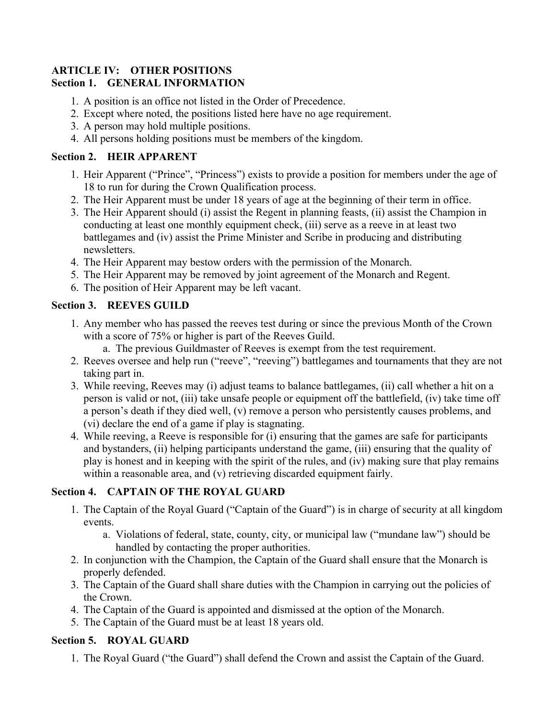#### <span id="page-10-0"></span>**ARTICLE IV: OTHER POSITIONS Section 1. GENERAL INFORMATION**

- 1. A position is an office not listed in the Order of Precedence.
- 2. Except where noted, the positions listed here have no age requirement.
- 3. A person may hold multiple positions.
- 4. All persons holding positions must be members of the kingdom.

#### **Section 2. HEIR APPARENT**

- 1. Heir Apparent ("Prince", "Princess") exists to provide a position for members under the age of 18 to run for during the Crown Qualification process.
- 2. The Heir Apparent must be under 18 years of age at the beginning of their term in office.
- 3. The Heir Apparent should (i) assist the Regent in planning feasts, (ii) assist the Champion in conducting at least one monthly equipment check, (iii) serve as a reeve in at least two battlegames and (iv) assist the Prime Minister and Scribe in producing and distributing newsletters.
- 4. The Heir Apparent may bestow orders with the permission of the Monarch.
- 5. The Heir Apparent may be removed by joint agreement of the Monarch and Regent.
- 6. The position of Heir Apparent may be left vacant.

#### **Section 3. REEVES GUILD**

- 1. Any member who has passed the reeves test during or since the previous Month of the Crown with a score of 75% or higher is part of the Reeves Guild.
	- a. The previous Guildmaster of Reeves is exempt from the test requirement.
- 2. Reeves oversee and help run ("reeve", "reeving") battlegames and tournaments that they are not taking part in.
- 3. While reeving, Reeves may (i) adjust teams to balance battlegames, (ii) call whether a hit on a person is valid or not, (iii) take unsafe people or equipment off the battlefield, (iv) take time off a person's death if they died well, (v) remove a person who persistently causes problems, and (vi) declare the end of a game if play is stagnating.
- 4. While reeving, a Reeve is responsible for (i) ensuring that the games are safe for participants and bystanders, (ii) helping participants understand the game, (iii) ensuring that the quality of play is honest and in keeping with the spirit of the rules, and (iv) making sure that play remains within a reasonable area, and (v) retrieving discarded equipment fairly.

# **Section 4. CAPTAIN OF THE ROYAL GUARD**

- 1. The Captain of the Royal Guard ("Captain of the Guard") is in charge of security at all kingdom events.
	- a. Violations of federal, state, county, city, or municipal law ("mundane law") should be handled by contacting the proper authorities.
- 2. In conjunction with the Champion, the Captain of the Guard shall ensure that the Monarch is properly defended.
- 3. The Captain of the Guard shall share duties with the Champion in carrying out the policies of the Crown.
- 4. The Captain of the Guard is appointed and dismissed at the option of the Monarch.
- 5. The Captain of the Guard must be at least 18 years old.

# **Section 5. ROYAL GUARD**

1. The Royal Guard ("the Guard") shall defend the Crown and assist the Captain of the Guard.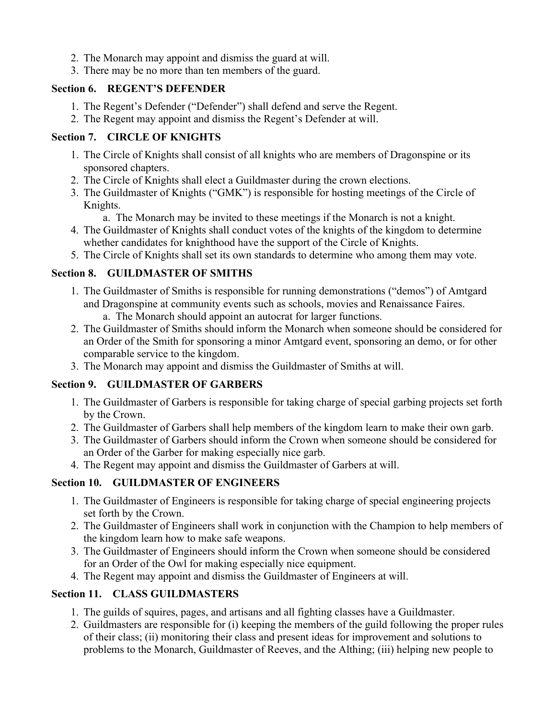- 2. The Monarch may appoint and dismiss the guard at will.
- 3. There may be no more than ten members of the guard.

# **Section 6. REGENT'S DEFENDER**

- 1. The Regent's Defender ("Defender") shall defend and serve the Regent.
- 2. The Regent may appoint and dismiss the Regent's Defender at will.

# **Section 7. CIRCLE OF KNIGHTS**

- 1. The Circle of Knights shall consist of all knights who are members of Dragonspine or its sponsored chapters.
- 2. The Circle of Knights shall elect a Guildmaster during the crown elections.
- 3. The Guildmaster of Knights ("GMK") is responsible for hosting meetings of the Circle of Knights.
	- a. The Monarch may be invited to these meetings if the Monarch is not a knight.
- 4. The Guildmaster of Knights shall conduct votes of the knights of the kingdom to determine whether candidates for knighthood have the support of the Circle of Knights.
- 5. The Circle of Knights shall set its own standards to determine who among them may vote.

# **Section 8. GUILDMASTER OF SMITHS**

- 1. The Guildmaster of Smiths is responsible for running demonstrations ("demos") of Amtgard and Dragonspine at community events such as schools, movies and Renaissance Faires.
	- a. The Monarch should appoint an autocrat for larger functions.
- 2. The Guildmaster of Smiths should inform the Monarch when someone should be considered for an Order of the Smith for sponsoring a minor Amtgard event, sponsoring an demo, or for other comparable service to the kingdom.
- 3. The Monarch may appoint and dismiss the Guildmaster of Smiths at will.

# **Section 9. GUILDMASTER OF GARBERS**

- 1. The Guildmaster of Garbers is responsible for taking charge of special garbing projects set forth by the Crown.
- 2. The Guildmaster of Garbers shall help members of the kingdom learn to make their own garb.
- 3. The Guildmaster of Garbers should inform the Crown when someone should be considered for an Order of the Garber for making especially nice garb.
- 4. The Regent may appoint and dismiss the Guildmaster of Garbers at will.

# **Section 10. GUILDMASTER OF ENGINEERS**

- 1. The Guildmaster of Engineers is responsible for taking charge of special engineering projects set forth by the Crown.
- 2. The Guildmaster of Engineers shall work in conjunction with the Champion to help members of the kingdom learn how to make safe weapons.
- 3. The Guildmaster of Engineers should inform the Crown when someone should be considered for an Order of the Owl for making especially nice equipment.
- 4. The Regent may appoint and dismiss the Guildmaster of Engineers at will.

# **Section 11. CLASS GUILDMASTERS**

- 1. The guilds of squires, pages, and artisans and all fighting classes have a Guildmaster.
- 2. Guildmasters are responsible for (i) keeping the members of the guild following the proper rules of their class; (ii) monitoring their class and present ideas for improvement and solutions to problems to the Monarch, Guildmaster of Reeves, and the Althing; (iii) helping new people to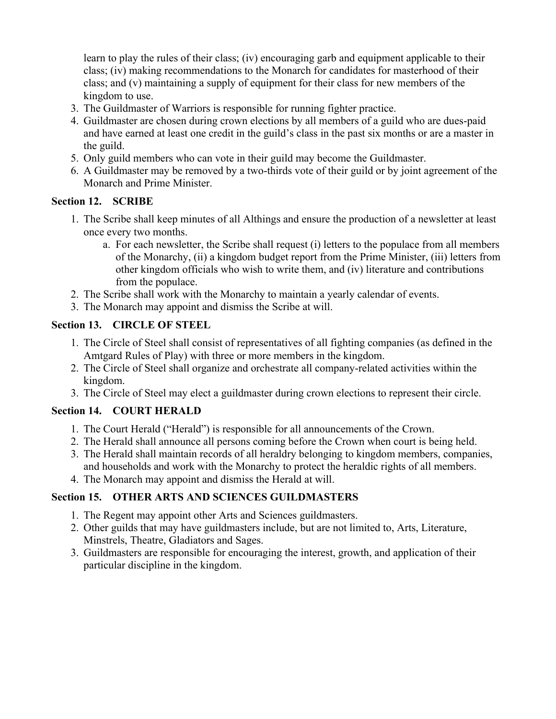learn to play the rules of their class; (iv) encouraging garb and equipment applicable to their class; (iv) making recommendations to the Monarch for candidates for masterhood of their class; and (v) maintaining a supply of equipment for their class for new members of the kingdom to use.

- 3. The Guildmaster of Warriors is responsible for running fighter practice.
- 4. Guildmaster are chosen during crown elections by all members of a guild who are dues-paid and have earned at least one credit in the guild's class in the past six months or are a master in the guild.
- 5. Only guild members who can vote in their guild may become the Guildmaster.
- 6. A Guildmaster may be removed by a two-thirds vote of their guild or by joint agreement of the Monarch and Prime Minister.

#### **Section 12. SCRIBE**

- 1. The Scribe shall keep minutes of all Althings and ensure the production of a newsletter at least once every two months.
	- a. For each newsletter, the Scribe shall request (i) letters to the populace from all members of the Monarchy, (ii) a kingdom budget report from the Prime Minister, (iii) letters from other kingdom officials who wish to write them, and (iv) literature and contributions from the populace.
- 2. The Scribe shall work with the Monarchy to maintain a yearly calendar of events.
- 3. The Monarch may appoint and dismiss the Scribe at will.

# **Section 13. CIRCLE OF STEEL**

- 1. The Circle of Steel shall consist of representatives of all fighting companies (as defined in the Amtgard Rules of Play) with three or more members in the kingdom.
- 2. The Circle of Steel shall organize and orchestrate all company-related activities within the kingdom.
- 3. The Circle of Steel may elect a guildmaster during crown elections to represent their circle.

# **Section 14. COURT HERALD**

- 1. The Court Herald ("Herald") is responsible for all announcements of the Crown.
- 2. The Herald shall announce all persons coming before the Crown when court is being held.
- 3. The Herald shall maintain records of all heraldry belonging to kingdom members, companies, and households and work with the Monarchy to protect the heraldic rights of all members.
- 4. The Monarch may appoint and dismiss the Herald at will.

# **Section 15. OTHER ARTS AND SCIENCES GUILDMASTERS**

- 1. The Regent may appoint other Arts and Sciences guildmasters.
- 2. Other guilds that may have guildmasters include, but are not limited to, Arts, Literature, Minstrels, Theatre, Gladiators and Sages.
- 3. Guildmasters are responsible for encouraging the interest, growth, and application of their particular discipline in the kingdom.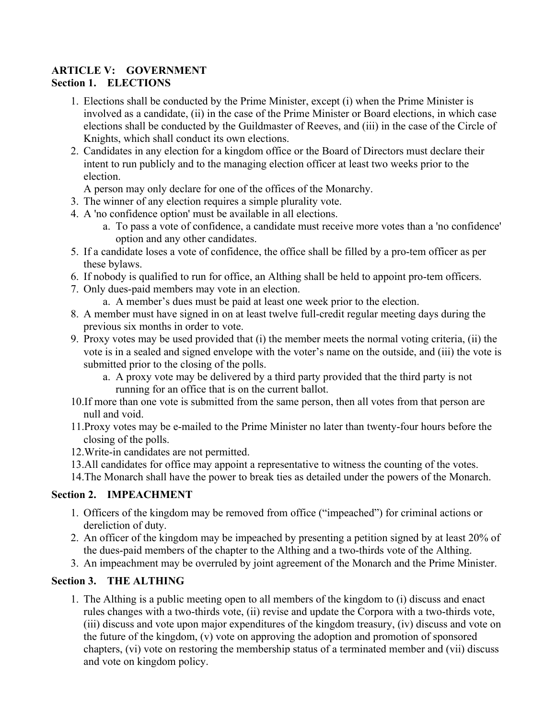#### <span id="page-13-0"></span>**ARTICLE V: GOVERNMENT Section 1. ELECTIONS**

- 1. Elections shall be conducted by the Prime Minister, except (i) when the Prime Minister is involved as a candidate, (ii) in the case of the Prime Minister or Board elections, in which case elections shall be conducted by the Guildmaster of Reeves, and (iii) in the case of the Circle of Knights, which shall conduct its own elections.
- 2. Candidates in any election for a kingdom office or the Board of Directors must declare their intent to run publicly and to the managing election officer at least two weeks prior to the election.

A person may only declare for one of the offices of the Monarchy.

- 3. The winner of any election requires a simple plurality vote.
- 4. A 'no confidence option' must be available in all elections.
	- a. To pass a vote of confidence, a candidate must receive more votes than a 'no confidence' option and any other candidates.
- 5. If a candidate loses a vote of confidence, the office shall be filled by a pro-tem officer as per these bylaws.
- 6. If nobody is qualified to run for office, an Althing shall be held to appoint pro-tem officers.
- 7. Only dues-paid members may vote in an election.
	- a. A member's dues must be paid at least one week prior to the election.
- 8. A member must have signed in on at least twelve full-credit regular meeting days during the previous six months in order to vote.
- 9. Proxy votes may be used provided that (i) the member meets the normal voting criteria, (ii) the vote is in a sealed and signed envelope with the voter's name on the outside, and (iii) the vote is submitted prior to the closing of the polls.
	- a. A proxy vote may be delivered by a third party provided that the third party is not running for an office that is on the current ballot.
- 10.If more than one vote is submitted from the same person, then all votes from that person are null and void.
- 11.Proxy votes may be e-mailed to the Prime Minister no later than twenty-four hours before the closing of the polls.
- 12.Write-in candidates are not permitted.
- 13.All candidates for office may appoint a representative to witness the counting of the votes.

14.The Monarch shall have the power to break ties as detailed under the powers of the Monarch.

# **Section 2. IMPEACHMENT**

- 1. Officers of the kingdom may be removed from office ("impeached") for criminal actions or dereliction of duty.
- 2. An officer of the kingdom may be impeached by presenting a petition signed by at least 20% of the dues-paid members of the chapter to the Althing and a two-thirds vote of the Althing.
- 3. An impeachment may be overruled by joint agreement of the Monarch and the Prime Minister.

# **Section 3. THE ALTHING**

1. The Althing is a public meeting open to all members of the kingdom to (i) discuss and enact rules changes with a two-thirds vote, (ii) revise and update the Corpora with a two-thirds vote, (iii) discuss and vote upon major expenditures of the kingdom treasury, (iv) discuss and vote on the future of the kingdom, (v) vote on approving the adoption and promotion of sponsored chapters, (vi) vote on restoring the membership status of a terminated member and (vii) discuss and vote on kingdom policy.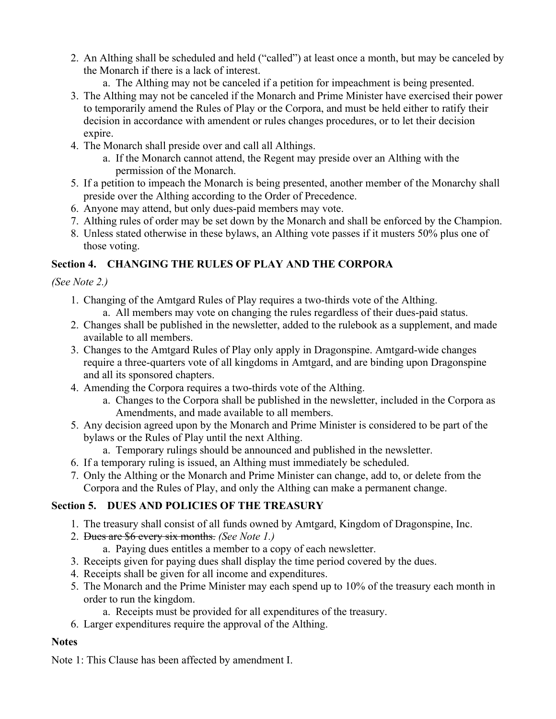- 2. An Althing shall be scheduled and held ("called") at least once a month, but may be canceled by the Monarch if there is a lack of interest.
	- a. The Althing may not be canceled if a petition for impeachment is being presented.
- 3. The Althing may not be canceled if the Monarch and Prime Minister have exercised their power to temporarily amend the Rules of Play or the Corpora, and must be held either to ratify their decision in accordance with amendent or rules changes procedures, or to let their decision expire.
- 4. The Monarch shall preside over and call all Althings.
	- a. If the Monarch cannot attend, the Regent may preside over an Althing with the permission of the Monarch.
- 5. If a petition to impeach the Monarch is being presented, another member of the Monarchy shall preside over the Althing according to the Order of Precedence.
- 6. Anyone may attend, but only dues-paid members may vote.
- 7. Althing rules of order may be set down by the Monarch and shall be enforced by the Champion.
- 8. Unless stated otherwise in these bylaws, an Althing vote passes if it musters 50% plus one of those voting.

# **Section 4. CHANGING THE RULES OF PLAY AND THE CORPORA**

*(See Note 2.)*

- 1. Changing of the Amtgard Rules of Play requires a two-thirds vote of the Althing. a. All members may vote on changing the rules regardless of their dues-paid status.
- 2. Changes shall be published in the newsletter, added to the rulebook as a supplement, and made available to all members.
- 3. Changes to the Amtgard Rules of Play only apply in Dragonspine. Amtgard-wide changes require a three-quarters vote of all kingdoms in Amtgard, and are binding upon Dragonspine and all its sponsored chapters.
- 4. Amending the Corpora requires a two-thirds vote of the Althing.
	- a. Changes to the Corpora shall be published in the newsletter, included in the Corpora as Amendments, and made available to all members.
- 5. Any decision agreed upon by the Monarch and Prime Minister is considered to be part of the bylaws or the Rules of Play until the next Althing.
	- a. Temporary rulings should be announced and published in the newsletter.
- 6. If a temporary ruling is issued, an Althing must immediately be scheduled.
- 7. Only the Althing or the Monarch and Prime Minister can change, add to, or delete from the Corpora and the Rules of Play, and only the Althing can make a permanent change.

# **Section 5. DUES AND POLICIES OF THE TREASURY**

- 1. The treasury shall consist of all funds owned by Amtgard, Kingdom of Dragonspine, Inc.
- 2. Dues are \$6 every six months. *(See Note 1.)*
	- a. Paying dues entitles a member to a copy of each newsletter.
- 3. Receipts given for paying dues shall display the time period covered by the dues.
- 4. Receipts shall be given for all income and expenditures.
- 5. The Monarch and the Prime Minister may each spend up to 10% of the treasury each month in order to run the kingdom.
	- a. Receipts must be provided for all expenditures of the treasury.
- 6. Larger expenditures require the approval of the Althing.

#### **Notes**

Note 1: This Clause has been affected by amendment I.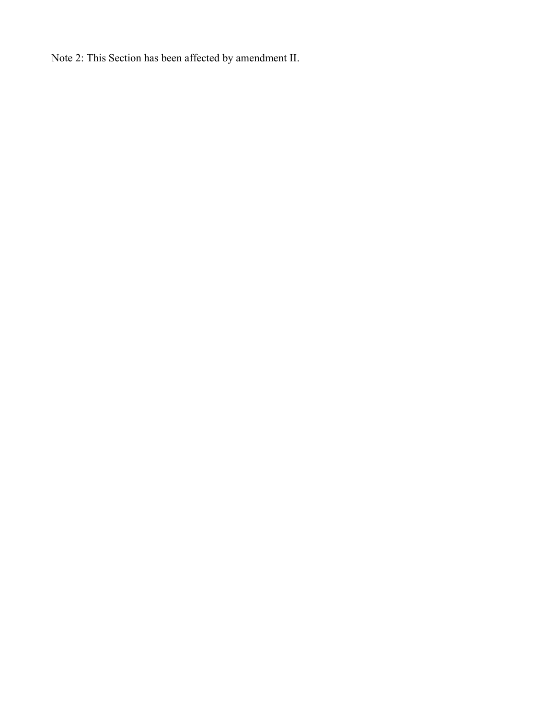Note 2: This Section has been affected by amendment II.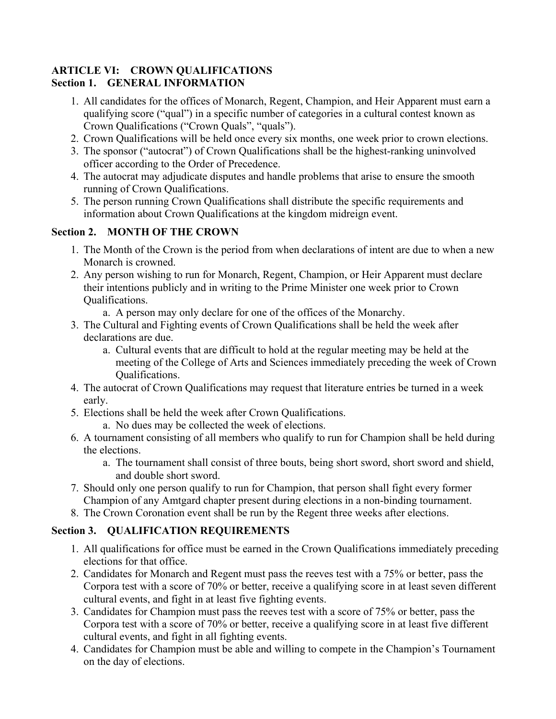#### <span id="page-16-0"></span>**ARTICLE VI: CROWN QUALIFICATIONS Section 1. GENERAL INFORMATION**

- 1. All candidates for the offices of Monarch, Regent, Champion, and Heir Apparent must earn a qualifying score ("qual") in a specific number of categories in a cultural contest known as Crown Qualifications ("Crown Quals", "quals").
- 2. Crown Qualifications will be held once every six months, one week prior to crown elections.
- 3. The sponsor ("autocrat") of Crown Qualifications shall be the highest-ranking uninvolved officer according to the Order of Precedence.
- 4. The autocrat may adjudicate disputes and handle problems that arise to ensure the smooth running of Crown Qualifications.
- 5. The person running Crown Qualifications shall distribute the specific requirements and information about Crown Qualifications at the kingdom midreign event.

# **Section 2. MONTH OF THE CROWN**

- 1. The Month of the Crown is the period from when declarations of intent are due to when a new Monarch is crowned.
- 2. Any person wishing to run for Monarch, Regent, Champion, or Heir Apparent must declare their intentions publicly and in writing to the Prime Minister one week prior to Crown Qualifications.
	- a. A person may only declare for one of the offices of the Monarchy.
- 3. The Cultural and Fighting events of Crown Qualifications shall be held the week after declarations are due.
	- a. Cultural events that are difficult to hold at the regular meeting may be held at the meeting of the College of Arts and Sciences immediately preceding the week of Crown Qualifications.
- 4. The autocrat of Crown Qualifications may request that literature entries be turned in a week early.
- 5. Elections shall be held the week after Crown Qualifications.
	- a. No dues may be collected the week of elections.
- 6. A tournament consisting of all members who qualify to run for Champion shall be held during the elections.
	- a. The tournament shall consist of three bouts, being short sword, short sword and shield, and double short sword.
- 7. Should only one person qualify to run for Champion, that person shall fight every former Champion of any Amtgard chapter present during elections in a non-binding tournament.
- 8. The Crown Coronation event shall be run by the Regent three weeks after elections.

# **Section 3. QUALIFICATION REQUIREMENTS**

- 1. All qualifications for office must be earned in the Crown Qualifications immediately preceding elections for that office.
- 2. Candidates for Monarch and Regent must pass the reeves test with a 75% or better, pass the Corpora test with a score of 70% or better, receive a qualifying score in at least seven different cultural events, and fight in at least five fighting events.
- 3. Candidates for Champion must pass the reeves test with a score of 75% or better, pass the Corpora test with a score of 70% or better, receive a qualifying score in at least five different cultural events, and fight in all fighting events.
- 4. Candidates for Champion must be able and willing to compete in the Champion's Tournament on the day of elections.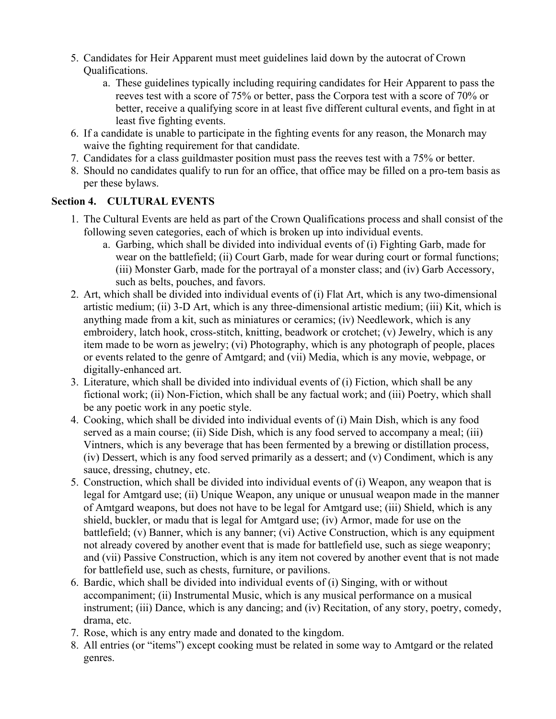- 5. Candidates for Heir Apparent must meet guidelines laid down by the autocrat of Crown Qualifications.
	- a. These guidelines typically including requiring candidates for Heir Apparent to pass the reeves test with a score of 75% or better, pass the Corpora test with a score of 70% or better, receive a qualifying score in at least five different cultural events, and fight in at least five fighting events.
- 6. If a candidate is unable to participate in the fighting events for any reason, the Monarch may waive the fighting requirement for that candidate.
- 7. Candidates for a class guildmaster position must pass the reeves test with a 75% or better.
- 8. Should no candidates qualify to run for an office, that office may be filled on a pro-tem basis as per these bylaws.

# **Section 4. CULTURAL EVENTS**

- 1. The Cultural Events are held as part of the Crown Qualifications process and shall consist of the following seven categories, each of which is broken up into individual events.
	- a. Garbing, which shall be divided into individual events of (i) Fighting Garb, made for wear on the battlefield; (ii) Court Garb, made for wear during court or formal functions; (iii) Monster Garb, made for the portrayal of a monster class; and (iv) Garb Accessory, such as belts, pouches, and favors.
- 2. Art, which shall be divided into individual events of (i) Flat Art, which is any two-dimensional artistic medium; (ii) 3-D Art, which is any three-dimensional artistic medium; (iii) Kit, which is anything made from a kit, such as miniatures or ceramics; (iv) Needlework, which is any embroidery, latch hook, cross-stitch, knitting, beadwork or crotchet; (v) Jewelry, which is any item made to be worn as jewelry; (vi) Photography, which is any photograph of people, places or events related to the genre of Amtgard; and (vii) Media, which is any movie, webpage, or digitally-enhanced art.
- 3. Literature, which shall be divided into individual events of (i) Fiction, which shall be any fictional work; (ii) Non-Fiction, which shall be any factual work; and (iii) Poetry, which shall be any poetic work in any poetic style.
- 4. Cooking, which shall be divided into individual events of (i) Main Dish, which is any food served as a main course; (ii) Side Dish, which is any food served to accompany a meal; (iii) Vintners, which is any beverage that has been fermented by a brewing or distillation process, (iv) Dessert, which is any food served primarily as a dessert; and (v) Condiment, which is any sauce, dressing, chutney, etc.
- 5. Construction, which shall be divided into individual events of (i) Weapon, any weapon that is legal for Amtgard use; (ii) Unique Weapon, any unique or unusual weapon made in the manner of Amtgard weapons, but does not have to be legal for Amtgard use; (iii) Shield, which is any shield, buckler, or madu that is legal for Amtgard use; (iv) Armor, made for use on the battlefield; (v) Banner, which is any banner; (vi) Active Construction, which is any equipment not already covered by another event that is made for battlefield use, such as siege weaponry; and (vii) Passive Construction, which is any item not covered by another event that is not made for battlefield use, such as chests, furniture, or pavilions.
- 6. Bardic, which shall be divided into individual events of (i) Singing, with or without accompaniment; (ii) Instrumental Music, which is any musical performance on a musical instrument; (iii) Dance, which is any dancing; and (iv) Recitation, of any story, poetry, comedy, drama, etc.
- 7. Rose, which is any entry made and donated to the kingdom.
- 8. All entries (or "items") except cooking must be related in some way to Amtgard or the related genres.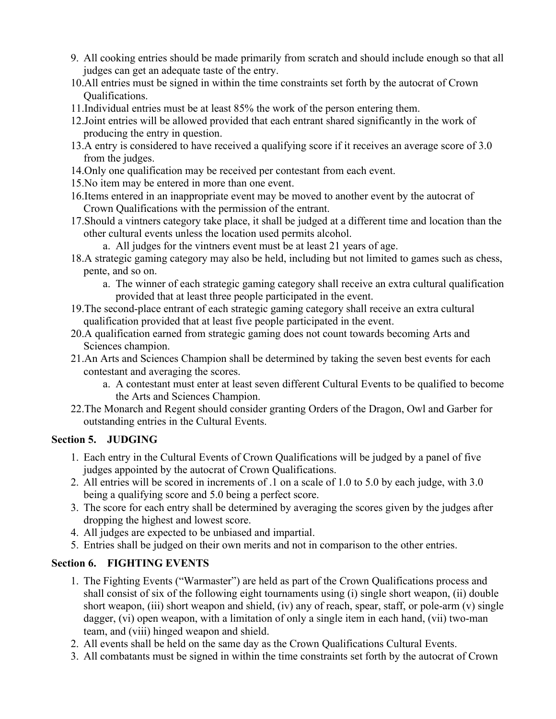- 9. All cooking entries should be made primarily from scratch and should include enough so that all judges can get an adequate taste of the entry.
- 10.All entries must be signed in within the time constraints set forth by the autocrat of Crown Qualifications.
- 11.Individual entries must be at least 85% the work of the person entering them.
- 12.Joint entries will be allowed provided that each entrant shared significantly in the work of producing the entry in question.
- 13.A entry is considered to have received a qualifying score if it receives an average score of 3.0 from the judges.
- 14.Only one qualification may be received per contestant from each event.
- 15.No item may be entered in more than one event.
- 16.Items entered in an inappropriate event may be moved to another event by the autocrat of Crown Qualifications with the permission of the entrant.
- 17.Should a vintners category take place, it shall be judged at a different time and location than the other cultural events unless the location used permits alcohol.
	- a. All judges for the vintners event must be at least 21 years of age.
- 18.A strategic gaming category may also be held, including but not limited to games such as chess, pente, and so on.
	- a. The winner of each strategic gaming category shall receive an extra cultural qualification provided that at least three people participated in the event.
- 19.The second-place entrant of each strategic gaming category shall receive an extra cultural qualification provided that at least five people participated in the event.
- 20.A qualification earned from strategic gaming does not count towards becoming Arts and Sciences champion.
- 21.An Arts and Sciences Champion shall be determined by taking the seven best events for each contestant and averaging the scores.
	- a. A contestant must enter at least seven different Cultural Events to be qualified to become the Arts and Sciences Champion.
- 22.The Monarch and Regent should consider granting Orders of the Dragon, Owl and Garber for outstanding entries in the Cultural Events.

# **Section 5. JUDGING**

- 1. Each entry in the Cultural Events of Crown Qualifications will be judged by a panel of five judges appointed by the autocrat of Crown Qualifications.
- 2. All entries will be scored in increments of .1 on a scale of 1.0 to 5.0 by each judge, with 3.0 being a qualifying score and 5.0 being a perfect score.
- 3. The score for each entry shall be determined by averaging the scores given by the judges after dropping the highest and lowest score.
- 4. All judges are expected to be unbiased and impartial.
- 5. Entries shall be judged on their own merits and not in comparison to the other entries.

# **Section 6. FIGHTING EVENTS**

- 1. The Fighting Events ("Warmaster") are held as part of the Crown Qualifications process and shall consist of six of the following eight tournaments using (i) single short weapon, (ii) double short weapon, (iii) short weapon and shield, (iv) any of reach, spear, staff, or pole-arm (v) single dagger, (vi) open weapon, with a limitation of only a single item in each hand, (vii) two-man team, and (viii) hinged weapon and shield.
- 2. All events shall be held on the same day as the Crown Qualifications Cultural Events.
- 3. All combatants must be signed in within the time constraints set forth by the autocrat of Crown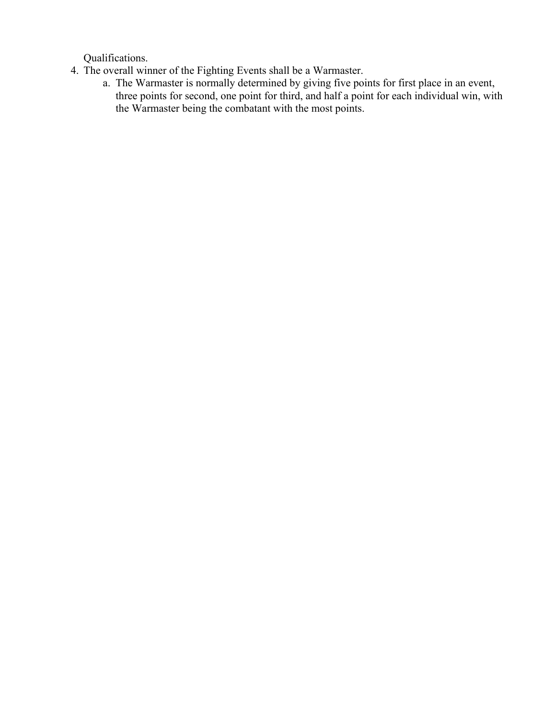Qualifications.

- 4. The overall winner of the Fighting Events shall be a Warmaster.
	- a. The Warmaster is normally determined by giving five points for first place in an event, three points for second, one point for third, and half a point for each individual win, with the Warmaster being the combatant with the most points.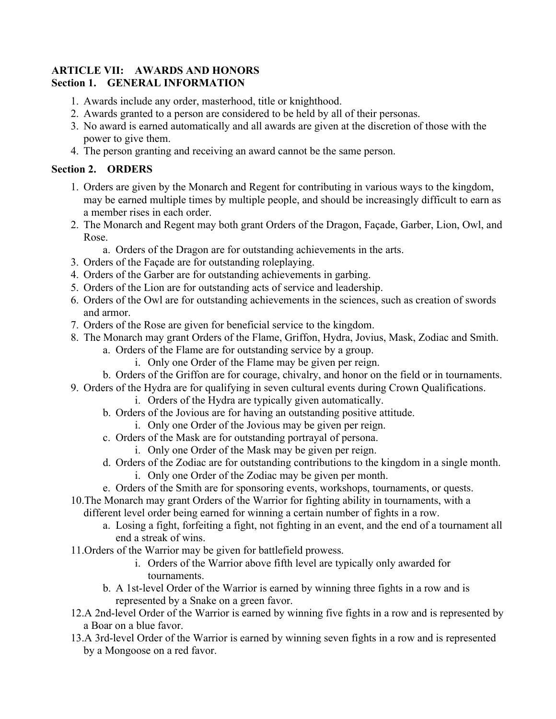#### <span id="page-20-0"></span>**ARTICLE VII: AWARDS AND HONORS Section 1. GENERAL INFORMATION**

- 1. Awards include any order, masterhood, title or knighthood.
- 2. Awards granted to a person are considered to be held by all of their personas.
- 3. No award is earned automatically and all awards are given at the discretion of those with the power to give them.
- 4. The person granting and receiving an award cannot be the same person.

#### **Section 2. ORDERS**

- 1. Orders are given by the Monarch and Regent for contributing in various ways to the kingdom, may be earned multiple times by multiple people, and should be increasingly difficult to earn as a member rises in each order.
- 2. The Monarch and Regent may both grant Orders of the Dragon, Façade, Garber, Lion, Owl, and Rose.
	- a. Orders of the Dragon are for outstanding achievements in the arts.
- 3. Orders of the Façade are for outstanding roleplaying.
- 4. Orders of the Garber are for outstanding achievements in garbing.
- 5. Orders of the Lion are for outstanding acts of service and leadership.
- 6. Orders of the Owl are for outstanding achievements in the sciences, such as creation of swords and armor.
- 7. Orders of the Rose are given for beneficial service to the kingdom.
- 8. The Monarch may grant Orders of the Flame, Griffon, Hydra, Jovius, Mask, Zodiac and Smith.
	- a. Orders of the Flame are for outstanding service by a group.
		- i. Only one Order of the Flame may be given per reign.
	- b. Orders of the Griffon are for courage, chivalry, and honor on the field or in tournaments.
- 9. Orders of the Hydra are for qualifying in seven cultural events during Crown Qualifications.
	- i. Orders of the Hydra are typically given automatically.
	- b. Orders of the Jovious are for having an outstanding positive attitude.
		- i. Only one Order of the Jovious may be given per reign.
	- c. Orders of the Mask are for outstanding portrayal of persona.
		- i. Only one Order of the Mask may be given per reign.
	- d. Orders of the Zodiac are for outstanding contributions to the kingdom in a single month. i. Only one Order of the Zodiac may be given per month.
	- e. Orders of the Smith are for sponsoring events, workshops, tournaments, or quests.
- 10.The Monarch may grant Orders of the Warrior for fighting ability in tournaments, with a

different level order being earned for winning a certain number of fights in a row.

- a. Losing a fight, forfeiting a fight, not fighting in an event, and the end of a tournament all end a streak of wins.
- 11.Orders of the Warrior may be given for battlefield prowess.
	- i. Orders of the Warrior above fifth level are typically only awarded for tournaments.
	- b. A 1st-level Order of the Warrior is earned by winning three fights in a row and is represented by a Snake on a green favor.
- 12.A 2nd-level Order of the Warrior is earned by winning five fights in a row and is represented by a Boar on a blue favor.
- 13.A 3rd-level Order of the Warrior is earned by winning seven fights in a row and is represented by a Mongoose on a red favor.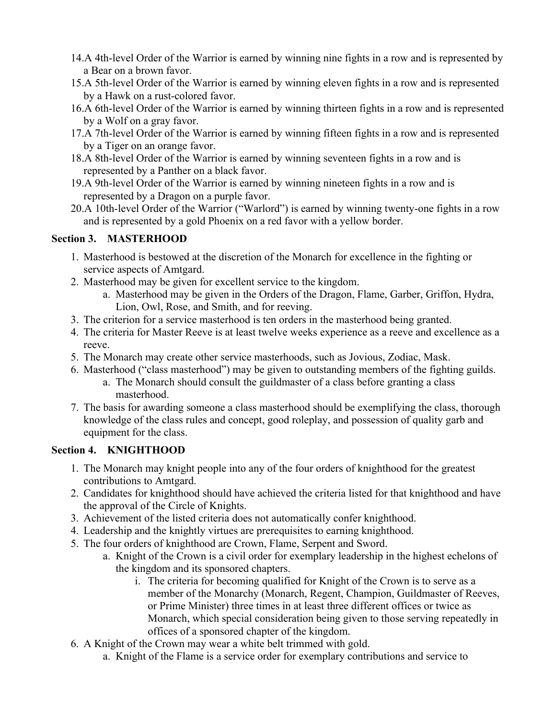- 14.A 4th-level Order of the Warrior is earned by winning nine fights in a row and is represented by a Bear on a brown favor.
- 15.A 5th-level Order of the Warrior is earned by winning eleven fights in a row and is represented by a Hawk on a rust-colored favor.
- 16.A 6th-level Order of the Warrior is earned by winning thirteen fights in a row and is represented by a Wolf on a gray favor.
- 17.A 7th-level Order of the Warrior is earned by winning fifteen fights in a row and is represented by a Tiger on an orange favor.
- 18.A 8th-level Order of the Warrior is earned by winning seventeen fights in a row and is represented by a Panther on a black favor.
- 19.A 9th-level Order of the Warrior is earned by winning nineteen fights in a row and is represented by a Dragon on a purple favor.
- 20.A 10th-level Order of the Warrior ("Warlord") is earned by winning twenty-one fights in a row and is represented by a gold Phoenix on a red favor with a yellow border.

# **Section 3. MASTERHOOD**

- 1. Masterhood is bestowed at the discretion of the Monarch for excellence in the fighting or service aspects of Amtgard.
- 2. Masterhood may be given for excellent service to the kingdom.
	- a. Masterhood may be given in the Orders of the Dragon, Flame, Garber, Griffon, Hydra, Lion, Owl, Rose, and Smith, and for reeving.
- 3. The criterion for a service masterhood is ten orders in the masterhood being granted.
- 4. The criteria for Master Reeve is at least twelve weeks experience as a reeve and excellence as a reeve.
- 5. The Monarch may create other service masterhoods, such as Jovious, Zodiac, Mask.
- 6. Masterhood ("class masterhood") may be given to outstanding members of the fighting guilds.
	- a. The Monarch should consult the guildmaster of a class before granting a class masterhood.
- 7. The basis for awarding someone a class masterhood should be exemplifying the class, thorough knowledge of the class rules and concept, good roleplay, and possession of quality garb and equipment for the class.

# **Section 4. KNIGHTHOOD**

- 1. The Monarch may knight people into any of the four orders of knighthood for the greatest contributions to Amtgard.
- 2. Candidates for knighthood should have achieved the criteria listed for that knighthood and have the approval of the Circle of Knights.
- 3. Achievement of the listed criteria does not automatically confer knighthood.
- 4. Leadership and the knightly virtues are prerequisites to earning knighthood.
- 5. The four orders of knighthood are Crown, Flame, Serpent and Sword.
	- a. Knight of the Crown is a civil order for exemplary leadership in the highest echelons of the kingdom and its sponsored chapters.
		- i. The criteria for becoming qualified for Knight of the Crown is to serve as a member of the Monarchy (Monarch, Regent, Champion, Guildmaster of Reeves, or Prime Minister) three times in at least three different offices or twice as Monarch, which special consideration being given to those serving repeatedly in offices of a sponsored chapter of the kingdom.
- 6. A Knight of the Crown may wear a white belt trimmed with gold.
	- a. Knight of the Flame is a service order for exemplary contributions and service to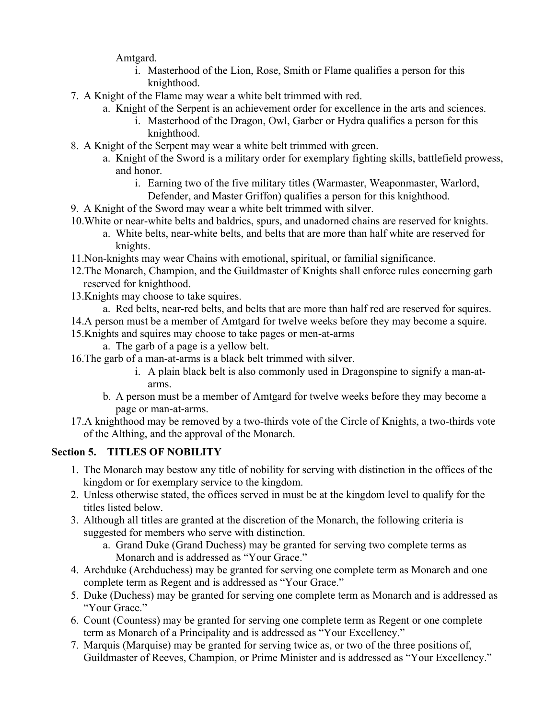Amtgard.

- i. Masterhood of the Lion, Rose, Smith or Flame qualifies a person for this knighthood.
- 7. A Knight of the Flame may wear a white belt trimmed with red.
	- a. Knight of the Serpent is an achievement order for excellence in the arts and sciences.
		- i. Masterhood of the Dragon, Owl, Garber or Hydra qualifies a person for this knighthood.
- 8. A Knight of the Serpent may wear a white belt trimmed with green.
	- a. Knight of the Sword is a military order for exemplary fighting skills, battlefield prowess, and honor.
		- i. Earning two of the five military titles (Warmaster, Weaponmaster, Warlord, Defender, and Master Griffon) qualifies a person for this knighthood.
- 9. A Knight of the Sword may wear a white belt trimmed with silver.
- 10.White or near-white belts and baldrics, spurs, and unadorned chains are reserved for knights.
	- a. White belts, near-white belts, and belts that are more than half white are reserved for knights.
- 11.Non-knights may wear Chains with emotional, spiritual, or familial significance.
- 12.The Monarch, Champion, and the Guildmaster of Knights shall enforce rules concerning garb reserved for knighthood.
- 13.Knights may choose to take squires.
	- a. Red belts, near-red belts, and belts that are more than half red are reserved for squires.
- 14.A person must be a member of Amtgard for twelve weeks before they may become a squire.
- 15.Knights and squires may choose to take pages or men-at-arms
	- a. The garb of a page is a yellow belt.
- 16.The garb of a man-at-arms is a black belt trimmed with silver.
	- i. A plain black belt is also commonly used in Dragonspine to signify a man-atarms.
	- b. A person must be a member of Amtgard for twelve weeks before they may become a page or man-at-arms.
- 17.A knighthood may be removed by a two-thirds vote of the Circle of Knights, a two-thirds vote of the Althing, and the approval of the Monarch.

# **Section 5. TITLES OF NOBILITY**

- 1. The Monarch may bestow any title of nobility for serving with distinction in the offices of the kingdom or for exemplary service to the kingdom.
- 2. Unless otherwise stated, the offices served in must be at the kingdom level to qualify for the titles listed below.
- 3. Although all titles are granted at the discretion of the Monarch, the following criteria is suggested for members who serve with distinction.
	- a. Grand Duke (Grand Duchess) may be granted for serving two complete terms as Monarch and is addressed as "Your Grace."
- 4. Archduke (Archduchess) may be granted for serving one complete term as Monarch and one complete term as Regent and is addressed as "Your Grace."
- 5. Duke (Duchess) may be granted for serving one complete term as Monarch and is addressed as "Your Grace."
- 6. Count (Countess) may be granted for serving one complete term as Regent or one complete term as Monarch of a Principality and is addressed as "Your Excellency."
- 7. Marquis (Marquise) may be granted for serving twice as, or two of the three positions of, Guildmaster of Reeves, Champion, or Prime Minister and is addressed as "Your Excellency."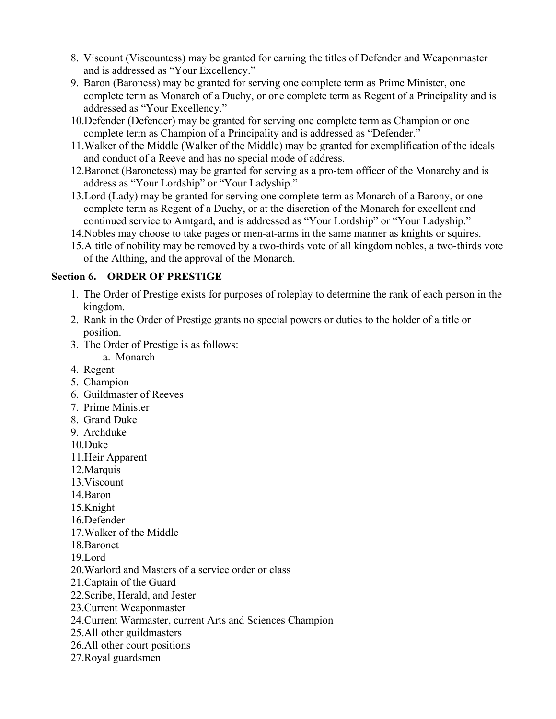- 8. Viscount (Viscountess) may be granted for earning the titles of Defender and Weaponmaster and is addressed as "Your Excellency."
- 9. Baron (Baroness) may be granted for serving one complete term as Prime Minister, one complete term as Monarch of a Duchy, or one complete term as Regent of a Principality and is addressed as "Your Excellency."
- 10.Defender (Defender) may be granted for serving one complete term as Champion or one complete term as Champion of a Principality and is addressed as "Defender."
- 11.Walker of the Middle (Walker of the Middle) may be granted for exemplification of the ideals and conduct of a Reeve and has no special mode of address.
- 12.Baronet (Baronetess) may be granted for serving as a pro-tem officer of the Monarchy and is address as "Your Lordship" or "Your Ladyship."
- 13.Lord (Lady) may be granted for serving one complete term as Monarch of a Barony, or one complete term as Regent of a Duchy, or at the discretion of the Monarch for excellent and continued service to Amtgard, and is addressed as "Your Lordship" or "Your Ladyship."
- 14.Nobles may choose to take pages or men-at-arms in the same manner as knights or squires.
- 15.A title of nobility may be removed by a two-thirds vote of all kingdom nobles, a two-thirds vote of the Althing, and the approval of the Monarch.

#### **Section 6. ORDER OF PRESTIGE**

- 1. The Order of Prestige exists for purposes of roleplay to determine the rank of each person in the kingdom.
- 2. Rank in the Order of Prestige grants no special powers or duties to the holder of a title or position.
- 3. The Order of Prestige is as follows:
	- a. Monarch
- 4. Regent
- 5. Champion
- 6. Guildmaster of Reeves
- 7. Prime Minister
- 8. Grand Duke
- 9. Archduke
- 10.Duke
- 11.Heir Apparent
- 12.Marquis
- 13.Viscount
- 14.Baron
- 15.Knight
- 16.Defender
- 17.Walker of the Middle
- 18.Baronet
- 19.Lord
- 20.Warlord and Masters of a service order or class
- 21.Captain of the Guard
- 22.Scribe, Herald, and Jester
- 23.Current Weaponmaster
- 24.Current Warmaster, current Arts and Sciences Champion
- 25.All other guildmasters
- 26.All other court positions
- 27.Royal guardsmen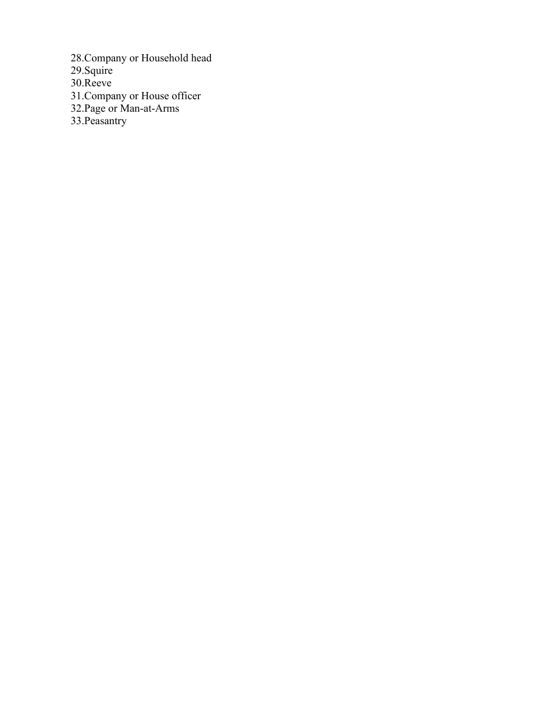28.Company or Household head 29.Squire 30.Reeve 31.Company or House officer 32.Page or Man-at-Arms 33.Peasantry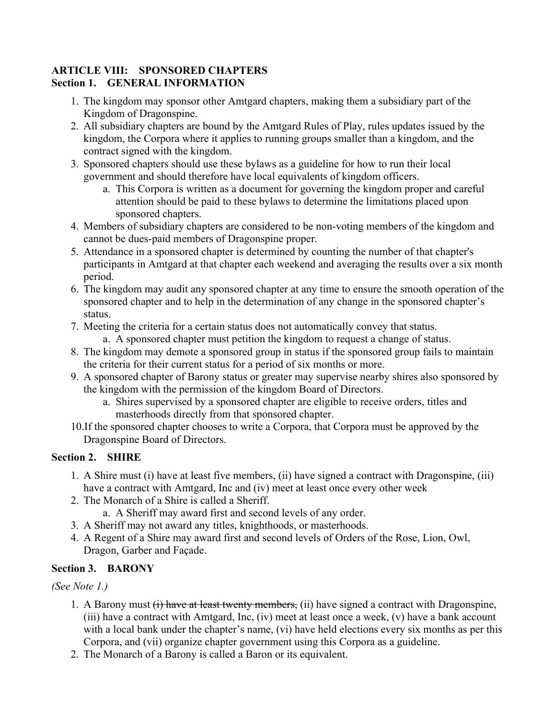#### <span id="page-25-0"></span>**ARTICLE VIII: SPONSORED CHAPTERS Section 1. GENERAL INFORMATION**

- 1. The kingdom may sponsor other Amtgard chapters, making them a subsidiary part of the Kingdom of Dragonspine.
- 2. All subsidiary chapters are bound by the Amtgard Rules of Play, rules updates issued by the kingdom, the Corpora where it applies to running groups smaller than a kingdom, and the contract signed with the kingdom.
- 3. Sponsored chapters should use these bylaws as a guideline for how to run their local government and should therefore have local equivalents of kingdom officers.
	- a. This Corpora is written as a document for governing the kingdom proper and careful attention should be paid to these bylaws to determine the limitations placed upon sponsored chapters.
- 4. Members of subsidiary chapters are considered to be non-voting members of the kingdom and cannot be dues-paid members of Dragonspine proper.
- 5. Attendance in a sponsored chapter is determined by counting the number of that chapter's participants in Amtgard at that chapter each weekend and averaging the results over a six month period.
- 6. The kingdom may audit any sponsored chapter at any time to ensure the smooth operation of the sponsored chapter and to help in the determination of any change in the sponsored chapter's status.
- 7. Meeting the criteria for a certain status does not automatically convey that status.
	- a. A sponsored chapter must petition the kingdom to request a change of status.
- 8. The kingdom may demote a sponsored group in status if the sponsored group fails to maintain the criteria for their current status for a period of six months or more.
- 9. A sponsored chapter of Barony status or greater may supervise nearby shires also sponsored by the kingdom with the permission of the kingdom Board of Directors.
	- a. Shires supervised by a sponsored chapter are eligible to receive orders, titles and masterhoods directly from that sponsored chapter.
- 10.If the sponsored chapter chooses to write a Corpora, that Corpora must be approved by the Dragonspine Board of Directors.

# **Section 2. SHIRE**

- 1. A Shire must (i) have at least five members, (ii) have signed a contract with Dragonspine, (iii) have a contract with Amtgard, Inc and (iv) meet at least once every other week
- 2. The Monarch of a Shire is called a Sheriff.
	- a. A Sheriff may award first and second levels of any order.
- 3. A Sheriff may not award any titles, knighthoods, or masterhoods.
- 4. A Regent of a Shire may award first and second levels of Orders of the Rose, Lion, Owl, Dragon, Garber and Façade.

# **Section 3. BARONY**

# *(See Note 1.)*

- 1. A Barony must  $(i)$  have at least twenty members, (ii) have signed a contract with Dragonspine, (iii) have a contract with Amtgard, Inc, (iv) meet at least once a week, (v) have a bank account with a local bank under the chapter's name, (vi) have held elections every six months as per this Corpora, and (vii) organize chapter government using this Corpora as a guideline.
- 2. The Monarch of a Barony is called a Baron or its equivalent.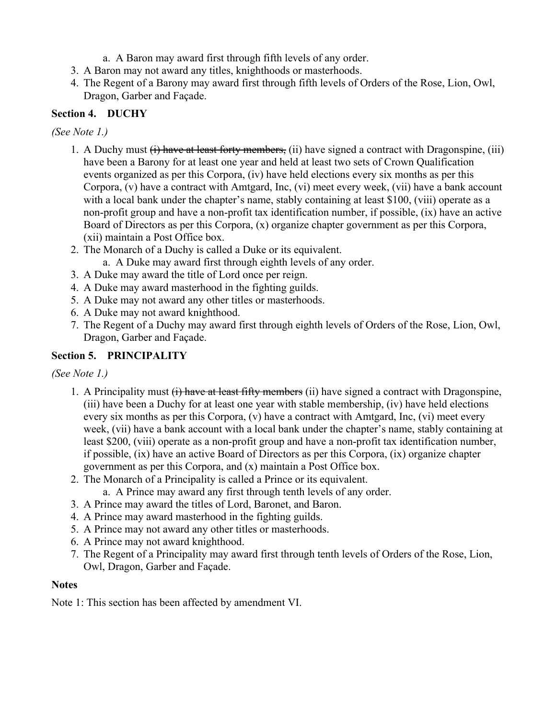- a. A Baron may award first through fifth levels of any order.
- 3. A Baron may not award any titles, knighthoods or masterhoods.
- 4. The Regent of a Barony may award first through fifth levels of Orders of the Rose, Lion, Owl, Dragon, Garber and Façade.

#### **Section 4. DUCHY**

#### *(See Note 1.)*

- 1. A Duchy must (i) have at least forty members, (ii) have signed a contract with Dragonspine, (iii) have been a Barony for at least one year and held at least two sets of Crown Qualification events organized as per this Corpora, (iv) have held elections every six months as per this Corpora, (v) have a contract with Amtgard, Inc, (vi) meet every week, (vii) have a bank account with a local bank under the chapter's name, stably containing at least \$100, (viii) operate as a non-profit group and have a non-profit tax identification number, if possible, (ix) have an active Board of Directors as per this Corpora, (x) organize chapter government as per this Corpora, (xii) maintain a Post Office box.
- 2. The Monarch of a Duchy is called a Duke or its equivalent.
	- a. A Duke may award first through eighth levels of any order.
- 3. A Duke may award the title of Lord once per reign.
- 4. A Duke may award masterhood in the fighting guilds.
- 5. A Duke may not award any other titles or masterhoods.
- 6. A Duke may not award knighthood.
- 7. The Regent of a Duchy may award first through eighth levels of Orders of the Rose, Lion, Owl, Dragon, Garber and Façade.

#### **Section 5. PRINCIPALITY**

#### *(See Note 1.)*

- 1. A Principality must (i) have at least fifty members (ii) have signed a contract with Dragonspine, (iii) have been a Duchy for at least one year with stable membership, (iv) have held elections every six months as per this Corpora, (v) have a contract with Amtgard, Inc, (vi) meet every week, (vii) have a bank account with a local bank under the chapter's name, stably containing at least \$200, (viii) operate as a non-profit group and have a non-profit tax identification number, if possible, (ix) have an active Board of Directors as per this Corpora, (ix) organize chapter government as per this Corpora, and (x) maintain a Post Office box.
- 2. The Monarch of a Principality is called a Prince or its equivalent.
	- a. A Prince may award any first through tenth levels of any order.
- 3. A Prince may award the titles of Lord, Baronet, and Baron.
- 4. A Prince may award masterhood in the fighting guilds.
- 5. A Prince may not award any other titles or masterhoods.
- 6. A Prince may not award knighthood.
- 7. The Regent of a Principality may award first through tenth levels of Orders of the Rose, Lion, Owl, Dragon, Garber and Façade.

#### **Notes**

Note 1: This section has been affected by amendment VI.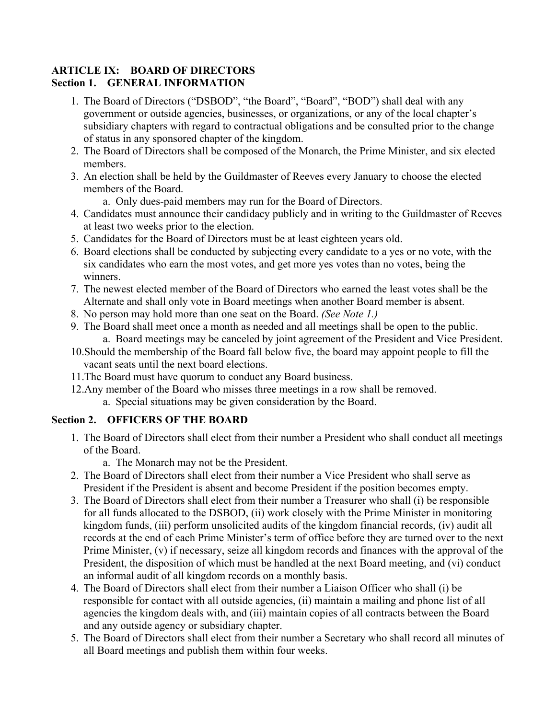#### <span id="page-27-0"></span>**ARTICLE IX: BOARD OF DIRECTORS Section 1. GENERAL INFORMATION**

- 1. The Board of Directors ("DSBOD", "the Board", "Board", "BOD") shall deal with any government or outside agencies, businesses, or organizations, or any of the local chapter's subsidiary chapters with regard to contractual obligations and be consulted prior to the change of status in any sponsored chapter of the kingdom.
- 2. The Board of Directors shall be composed of the Monarch, the Prime Minister, and six elected members.
- 3. An election shall be held by the Guildmaster of Reeves every January to choose the elected members of the Board.
	- a. Only dues-paid members may run for the Board of Directors.
- 4. Candidates must announce their candidacy publicly and in writing to the Guildmaster of Reeves at least two weeks prior to the election.
- 5. Candidates for the Board of Directors must be at least eighteen years old.
- 6. Board elections shall be conducted by subjecting every candidate to a yes or no vote, with the six candidates who earn the most votes, and get more yes votes than no votes, being the winners.
- 7. The newest elected member of the Board of Directors who earned the least votes shall be the Alternate and shall only vote in Board meetings when another Board member is absent.
- 8. No person may hold more than one seat on the Board. *(See Note 1.)*
- 9. The Board shall meet once a month as needed and all meetings shall be open to the public. a. Board meetings may be canceled by joint agreement of the President and Vice President.
- 10.Should the membership of the Board fall below five, the board may appoint people to fill the vacant seats until the next board elections.
- 11.The Board must have quorum to conduct any Board business.
- 12.Any member of the Board who misses three meetings in a row shall be removed. a. Special situations may be given consideration by the Board.

# **Section 2. OFFICERS OF THE BOARD**

- 1. The Board of Directors shall elect from their number a President who shall conduct all meetings of the Board.
	- a. The Monarch may not be the President.
- 2. The Board of Directors shall elect from their number a Vice President who shall serve as President if the President is absent and become President if the position becomes empty.
- 3. The Board of Directors shall elect from their number a Treasurer who shall (i) be responsible for all funds allocated to the DSBOD, (ii) work closely with the Prime Minister in monitoring kingdom funds, (iii) perform unsolicited audits of the kingdom financial records, (iv) audit all records at the end of each Prime Minister's term of office before they are turned over to the next Prime Minister, (v) if necessary, seize all kingdom records and finances with the approval of the President, the disposition of which must be handled at the next Board meeting, and (vi) conduct an informal audit of all kingdom records on a monthly basis.
- 4. The Board of Directors shall elect from their number a Liaison Officer who shall (i) be responsible for contact with all outside agencies, (ii) maintain a mailing and phone list of all agencies the kingdom deals with, and (iii) maintain copies of all contracts between the Board and any outside agency or subsidiary chapter.
- 5. The Board of Directors shall elect from their number a Secretary who shall record all minutes of all Board meetings and publish them within four weeks.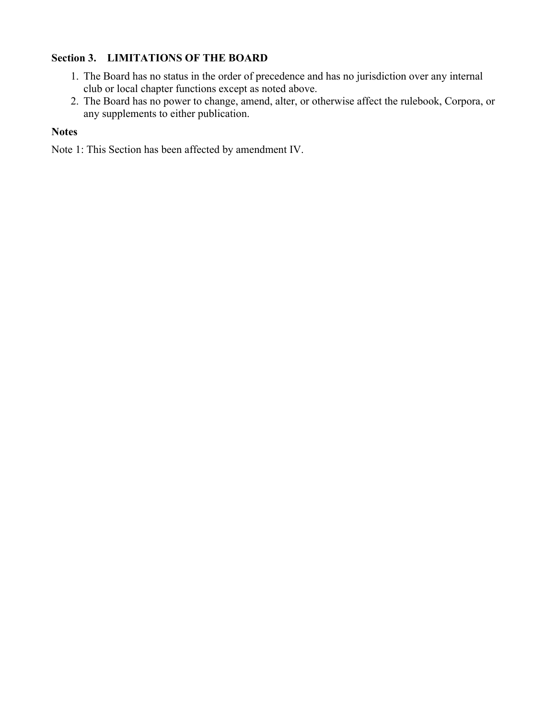# **Section 3. LIMITATIONS OF THE BOARD**

- 1. The Board has no status in the order of precedence and has no jurisdiction over any internal club or local chapter functions except as noted above.
- 2. The Board has no power to change, amend, alter, or otherwise affect the rulebook, Corpora, or any supplements to either publication.

# **Notes**

Note 1: This Section has been affected by amendment IV.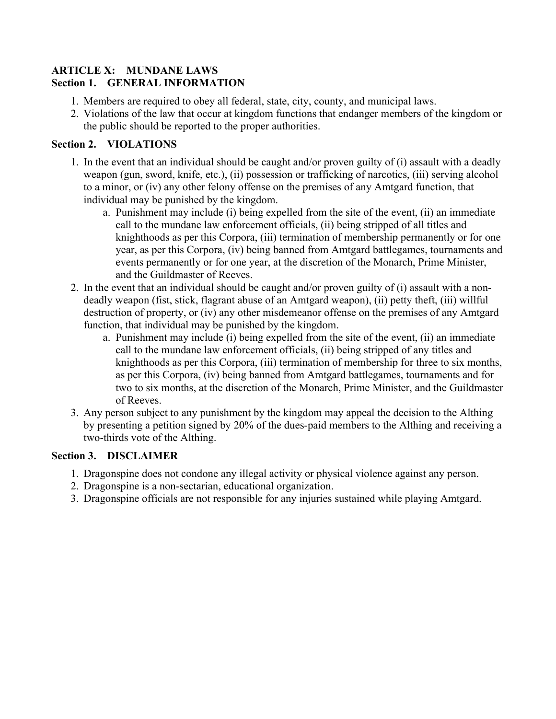#### <span id="page-29-0"></span>**ARTICLE X: MUNDANE LAWS Section 1. GENERAL INFORMATION**

- 1. Members are required to obey all federal, state, city, county, and municipal laws.
- 2. Violations of the law that occur at kingdom functions that endanger members of the kingdom or the public should be reported to the proper authorities.

# **Section 2. VIOLATIONS**

- 1. In the event that an individual should be caught and/or proven guilty of (i) assault with a deadly weapon (gun, sword, knife, etc.), (ii) possession or trafficking of narcotics, (iii) serving alcohol to a minor, or (iv) any other felony offense on the premises of any Amtgard function, that individual may be punished by the kingdom.
	- a. Punishment may include (i) being expelled from the site of the event, (ii) an immediate call to the mundane law enforcement officials, (ii) being stripped of all titles and knighthoods as per this Corpora, (iii) termination of membership permanently or for one year, as per this Corpora, (iv) being banned from Amtgard battlegames, tournaments and events permanently or for one year, at the discretion of the Monarch, Prime Minister, and the Guildmaster of Reeves.
- 2. In the event that an individual should be caught and/or proven guilty of (i) assault with a nondeadly weapon (fist, stick, flagrant abuse of an Amtgard weapon), (ii) petty theft, (iii) willful destruction of property, or (iv) any other misdemeanor offense on the premises of any Amtgard function, that individual may be punished by the kingdom.
	- a. Punishment may include (i) being expelled from the site of the event, (ii) an immediate call to the mundane law enforcement officials, (ii) being stripped of any titles and knighthoods as per this Corpora, (iii) termination of membership for three to six months, as per this Corpora, (iv) being banned from Amtgard battlegames, tournaments and for two to six months, at the discretion of the Monarch, Prime Minister, and the Guildmaster of Reeves.
- 3. Any person subject to any punishment by the kingdom may appeal the decision to the Althing by presenting a petition signed by 20% of the dues-paid members to the Althing and receiving a two-thirds vote of the Althing.

# **Section 3. DISCLAIMER**

- 1. Dragonspine does not condone any illegal activity or physical violence against any person.
- 2. Dragonspine is a non-sectarian, educational organization.
- 3. Dragonspine officials are not responsible for any injuries sustained while playing Amtgard.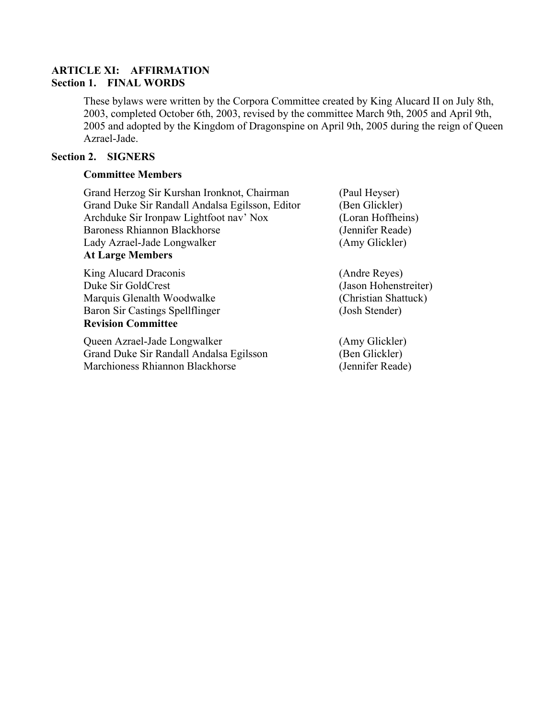#### <span id="page-30-0"></span>**ARTICLE XI: AFFIRMATION Section 1. FINAL WORDS**

These bylaws were written by the Corpora Committee created by King Alucard II on July 8th, 2003, completed October 6th, 2003, revised by the committee March 9th, 2005 and April 9th, 2005 and adopted by the Kingdom of Dragonspine on April 9th, 2005 during the reign of Queen Azrael-Jade.

#### **Section 2. SIGNERS**

#### **Committee Members**

Grand Herzog Sir Kurshan Ironknot, Chairman (Paul Heyser) Grand Duke Sir Randall Andalsa Egilsson, Editor (Ben Glickler) Archduke Sir Ironpaw Lightfoot nav' Nox (Loran Hoffheins) Baroness Rhiannon Blackhorse (Jennifer Reade) Lady Azrael-Jade Longwalker (Amy Glickler) **At Large Members**

King Alucard Draconis (Andre Reyes) Duke Sir GoldCrest (Jason Hohenstreiter) Marquis Glenalth Woodwalke (Christian Shattuck) Baron Sir Castings Spellflinger (Josh Stender) **Revision Committee**

Queen Azrael-Jade Longwalker (Amy Glickler) Grand Duke Sir Randall Andalsa Egilsson (Ben Glickler) Marchioness Rhiannon Blackhorse (Jennifer Reade)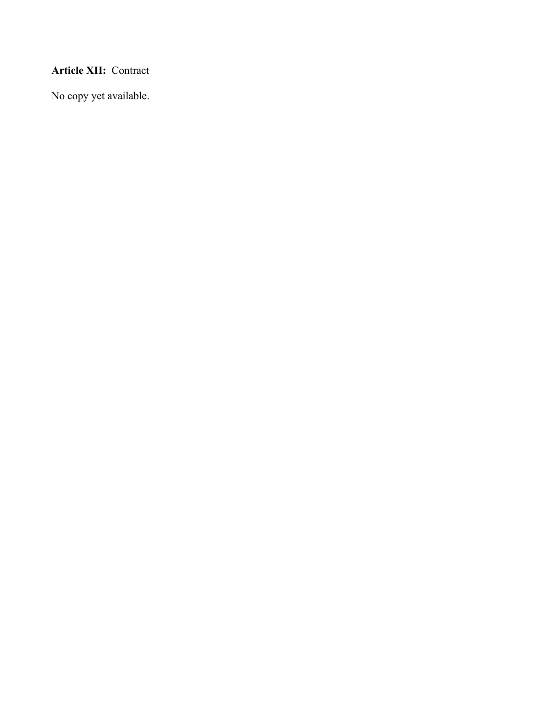# <span id="page-31-0"></span>**Article XII:** Contract

No copy yet available.